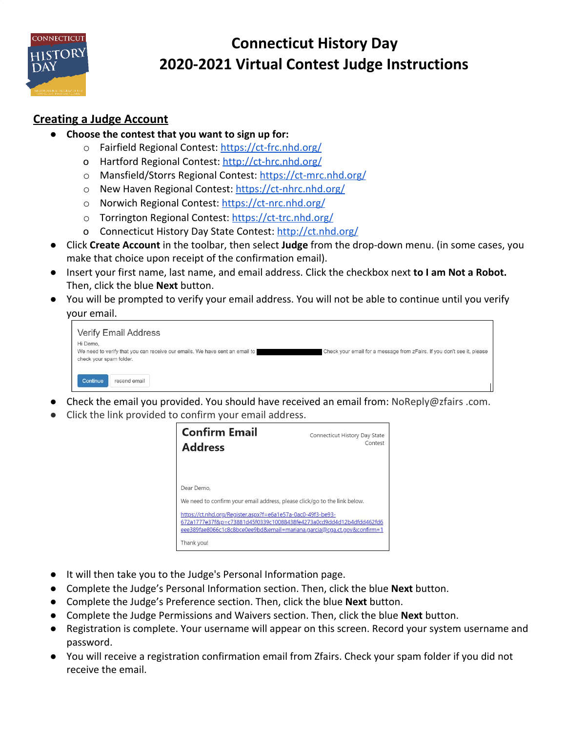

# **Connecticut History Day 2020-2021 Virtual Contest Judge Instructions**

## **Creating a Judge Account**

- **Choose the contest that you want to sign up for:**
	- o Fairfield Regional Contest:<https://ct-frc.nhd.org/>
	- o Hartford Regional Contest: [http://](http://goog_1645271872/)[ct-hrc.nhd.org/](http://ct-hrc.nhd.org/)
	- o Mansfield/Storrs Regional Contest: <https://ct-mrc.nhd.org/>
	- o New Haven Regional Contest: <https://ct-nhrc.nhd.org/>
	- o Norwich Regional Contest: <https://ct-nrc.nhd.org/>
	- o Torrington Regional Contest: <https://ct-trc.nhd.org/>
	- o Connecticut History Day State Contest: [http://](http://goog_1645271860/)[ct.nhd.org/](http://ct.nhd.org/)
- Click **Create Account** in the toolbar, then select **Judge** from the drop-down menu. (in some cases, you make that choice upon receipt of the confirmation email).
- Insert your first name, last name, and email address. Click the checkbox next **to I am Not a Robot.** Then, click the blue **Next** button.
- You will be prompted to verify your email address. You will not be able to continue until you verify your email.

| Verify Email Address                                                        |                                                                         |
|-----------------------------------------------------------------------------|-------------------------------------------------------------------------|
| Hi Demo,                                                                    |                                                                         |
| We need to verify that you can receive our emails. We have sent an email to | Check your email for a message from zFairs. If you don't see it, please |
| check your spam folder.                                                     |                                                                         |
|                                                                             |                                                                         |
| Continue<br>resend email                                                    |                                                                         |

- Check the email you provided. You should have received an email from: NoReply@zfairs .com.
- Click the link provided to confirm your email address.



- It will then take you to the Judge's Personal Information page.
- Complete the Judge's Personal Information section. Then, click the blue **Next** button.
- Complete the Judge's Preference section. Then, click the blue **Next** button.
- **●** Complete the Judge Permissions and Waivers section. Then, click the blue **Next** button.
- **●** Registration is complete. Your username will appear on this screen. Record your system username and password.
- **●** You will receive a registration confirmation email from Zfairs. Check your spam folder if you did not receive the email.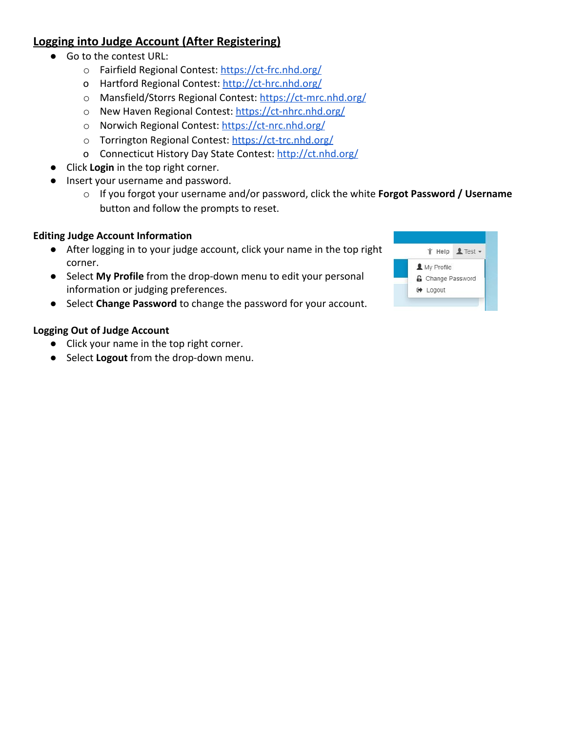## **Logging into Judge Account (After Registering)**

- Go to the contest URL:
	- o Fairfield Regional Contest:<https://ct-frc.nhd.org/>
	- o Hartford Regional Contest: [http://](http://goog_1645271872/)[ct-hrc.nhd.org/](http://ct-hrc.nhd.org/)
	- o Mansfield/Storrs Regional Contest: <https://ct-mrc.nhd.org/>
	- o New Haven Regional Contest: <https://ct-nhrc.nhd.org/>
	- o Norwich Regional Contest: <https://ct-nrc.nhd.org/>
	- o Torrington Regional Contest: <https://ct-trc.nhd.org/>
	- o Connecticut History Day State Contest: [http://](http://goog_1645271860/)[ct.nhd.org/](http://ct.nhd.org/)
- **●** Click **Login** in the top right corner.
- **●** Insert your username and password.
	- o If you forgot your username and/or password, click the white **Forgot Password / Username** button and follow the prompts to reset.

## **Editing Judge Account Information**

- After logging in to your judge account, click your name in the top right corner.
- Select **My Profile** from the drop-down menu to edit your personal information or judging preferences.
- Select **Change Password** to change the password for your account.

## **Logging Out of Judge Account**

- Click your name in the top right corner.
- Select **Logout** from the drop-down menu.

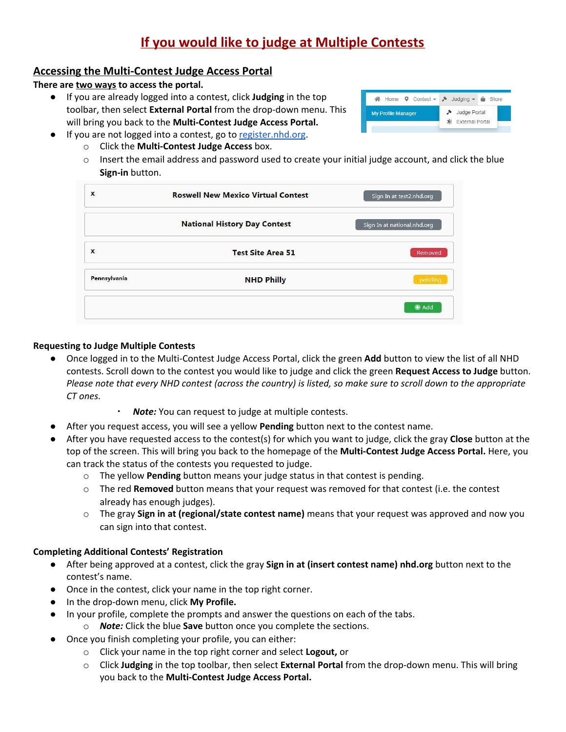## **If you would like to judge at Multiple Contests**

### **Accessing the Multi-Contest Judge Access Portal**

**There are two ways to access the portal.**

- **●** If you are already logged into a contest, click **Judging** in the top toolbar, then select **External Portal** from the drop-down menu. This will bring you back to the **Multi-Contest Judge Access Portal.**
- If you are not logged into a contest, go to [register.nhd.org.](http://register.nhd.org/)
	- o Click the **Multi-Contest Judge Access** box.
	- $\circ$  Insert the email address and password used to create your initial judge account, and click the blue **Sign-in** button.

| X            | <b>Roswell New Mexico Virtual Contest</b> | Sign In at test2.nhd.org    |
|--------------|-------------------------------------------|-----------------------------|
|              | <b>National History Day Contest</b>       | Sign In at national.nhd.org |
| $\mathbf{x}$ | <b>Test Site Area 51</b>                  | Removed                     |
| Pennsylvania | <b>NHD Philly</b>                         | pending                     |
|              |                                           | $+$ Add                     |

### **Requesting to Judge Multiple Contests**

- **●** Once logged in to the Multi-Contest Judge Access Portal, click the green **Add** button to view the list of all NHD contests. Scroll down to the contest you would like to judge and click the green **Request Access to Judge** button. Please note that every NHD contest (across the country) is listed, so make sure to scroll down to the appropriate *CT ones.*
	- **Note:** You can request to judge at multiple contests.
- After you request access, you will see a yellow Pending button next to the contest name.
- After you have requested access to the contest(s) for which you want to judge, click the gray **Close** button at the top of the screen. This will bring you back to the homepage of the **Multi-Contest Judge Access Portal.** Here, you can track the status of the contests you requested to judge.
	- o The yellow **Pending** button means your judge status in that contest is pending.
	- o The red **Removed** button means that your request was removed for that contest (i.e. the contest already has enough judges).
	- o The gray **Sign in at (regional/state contest name)** means that your request was approved and now you can sign into that contest.

#### **Completing Additional Contests' Registration**

- After being approved at a contest, click the gray **Sign in at (insert contest name) nhd.org** button next to the contest's name.
- Once in the contest, click your name in the top right corner.
- In the drop-down menu, click **My Profile.**
- In your profile, complete the prompts and answer the questions on each of the tabs.
	- o *Note:* Click the blue **Save** button once you complete the sections.
- Once you finish completing your profile, you can either:
	- o Click your name in the top right corner and select **Logout,** or
	- o Click **Judging** in the top toolbar, then select **External Portal** from the drop-down menu. This will bring you back to the **Multi-Contest Judge Access Portal.**

| $\mathsf{A}$ Home $\mathsf{Q}$ Contest $\mathsf{P}$ Judging $\mathsf{Q}$ Store |                                     |
|--------------------------------------------------------------------------------|-------------------------------------|
| <b>My Profile Manager</b>                                                      | → Judge Portal<br>차 External Portal |